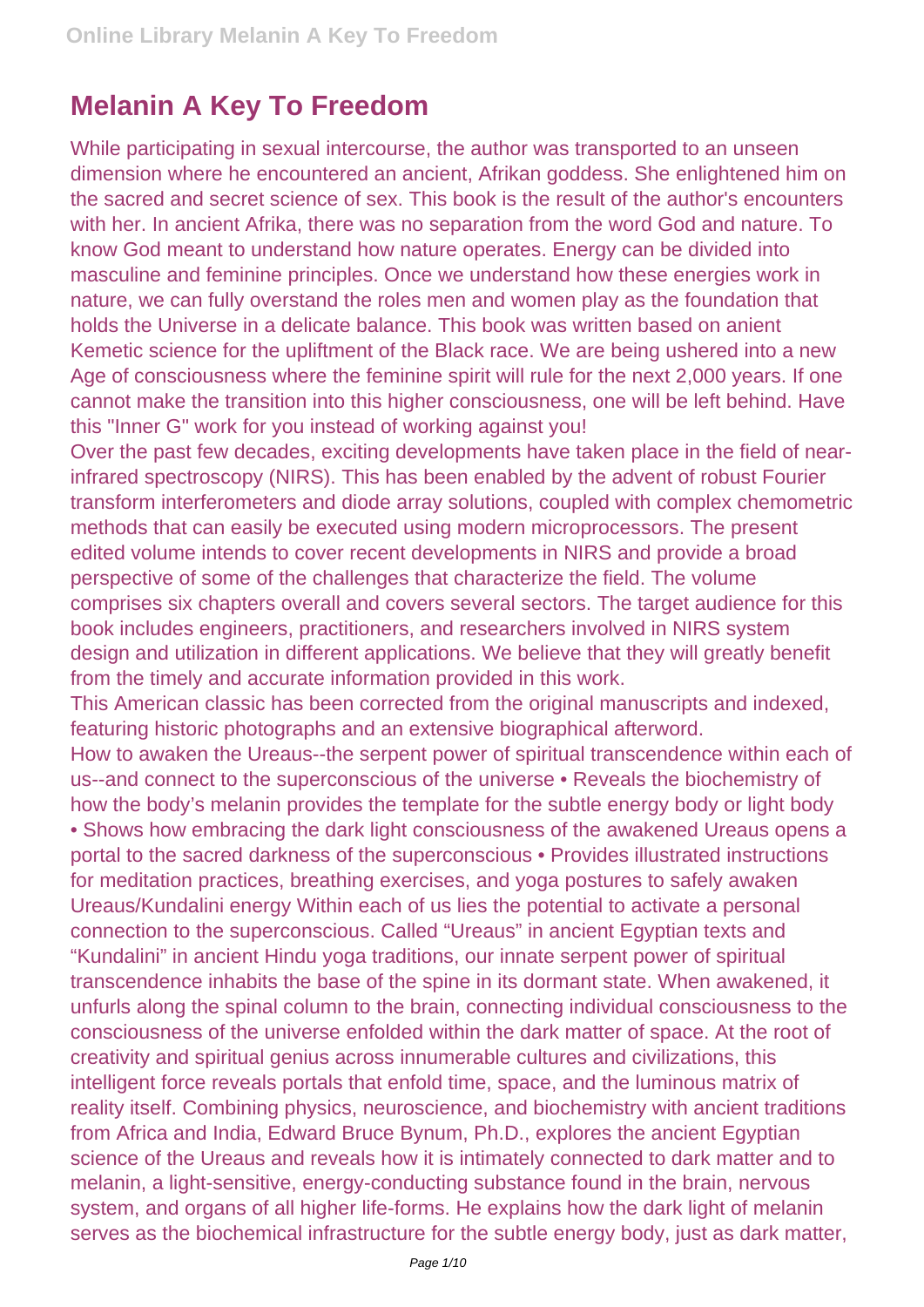## **Melanin A Key To Freedom**

While participating in sexual intercourse, the author was transported to an unseen dimension where he encountered an ancient, Afrikan goddess. She enlightened him on the sacred and secret science of sex. This book is the result of the author's encounters with her. In ancient Afrika, there was no separation from the word God and nature. To know God meant to understand how nature operates. Energy can be divided into masculine and feminine principles. Once we understand how these energies work in nature, we can fully overstand the roles men and women play as the foundation that holds the Universe in a delicate balance. This book was written based on anient Kemetic science for the upliftment of the Black race. We are being ushered into a new Age of consciousness where the feminine spirit will rule for the next 2,000 years. If one cannot make the transition into this higher consciousness, one will be left behind. Have this "Inner G" work for you instead of working against you!

Over the past few decades, exciting developments have taken place in the field of nearinfrared spectroscopy (NIRS). This has been enabled by the advent of robust Fourier transform interferometers and diode array solutions, coupled with complex chemometric methods that can easily be executed using modern microprocessors. The present edited volume intends to cover recent developments in NIRS and provide a broad perspective of some of the challenges that characterize the field. The volume comprises six chapters overall and covers several sectors. The target audience for this book includes engineers, practitioners, and researchers involved in NIRS system design and utilization in different applications. We believe that they will greatly benefit from the timely and accurate information provided in this work.

This American classic has been corrected from the original manuscripts and indexed, featuring historic photographs and an extensive biographical afterword.

How to awaken the Ureaus--the serpent power of spiritual transcendence within each of us--and connect to the superconscious of the universe • Reveals the biochemistry of how the body's melanin provides the template for the subtle energy body or light body • Shows how embracing the dark light consciousness of the awakened Ureaus opens a portal to the sacred darkness of the superconscious • Provides illustrated instructions for meditation practices, breathing exercises, and yoga postures to safely awaken Ureaus/Kundalini energy Within each of us lies the potential to activate a personal connection to the superconscious. Called "Ureaus" in ancient Egyptian texts and "Kundalini" in ancient Hindu yoga traditions, our innate serpent power of spiritual transcendence inhabits the base of the spine in its dormant state. When awakened, it unfurls along the spinal column to the brain, connecting individual consciousness to the consciousness of the universe enfolded within the dark matter of space. At the root of creativity and spiritual genius across innumerable cultures and civilizations, this intelligent force reveals portals that enfold time, space, and the luminous matrix of reality itself. Combining physics, neuroscience, and biochemistry with ancient traditions from Africa and India, Edward Bruce Bynum, Ph.D., explores the ancient Egyptian science of the Ureaus and reveals how it is intimately connected to dark matter and to melanin, a light-sensitive, energy-conducting substance found in the brain, nervous system, and organs of all higher life-forms. He explains how the dark light of melanin serves as the biochemical infrastructure for the subtle energy body, just as dark matter,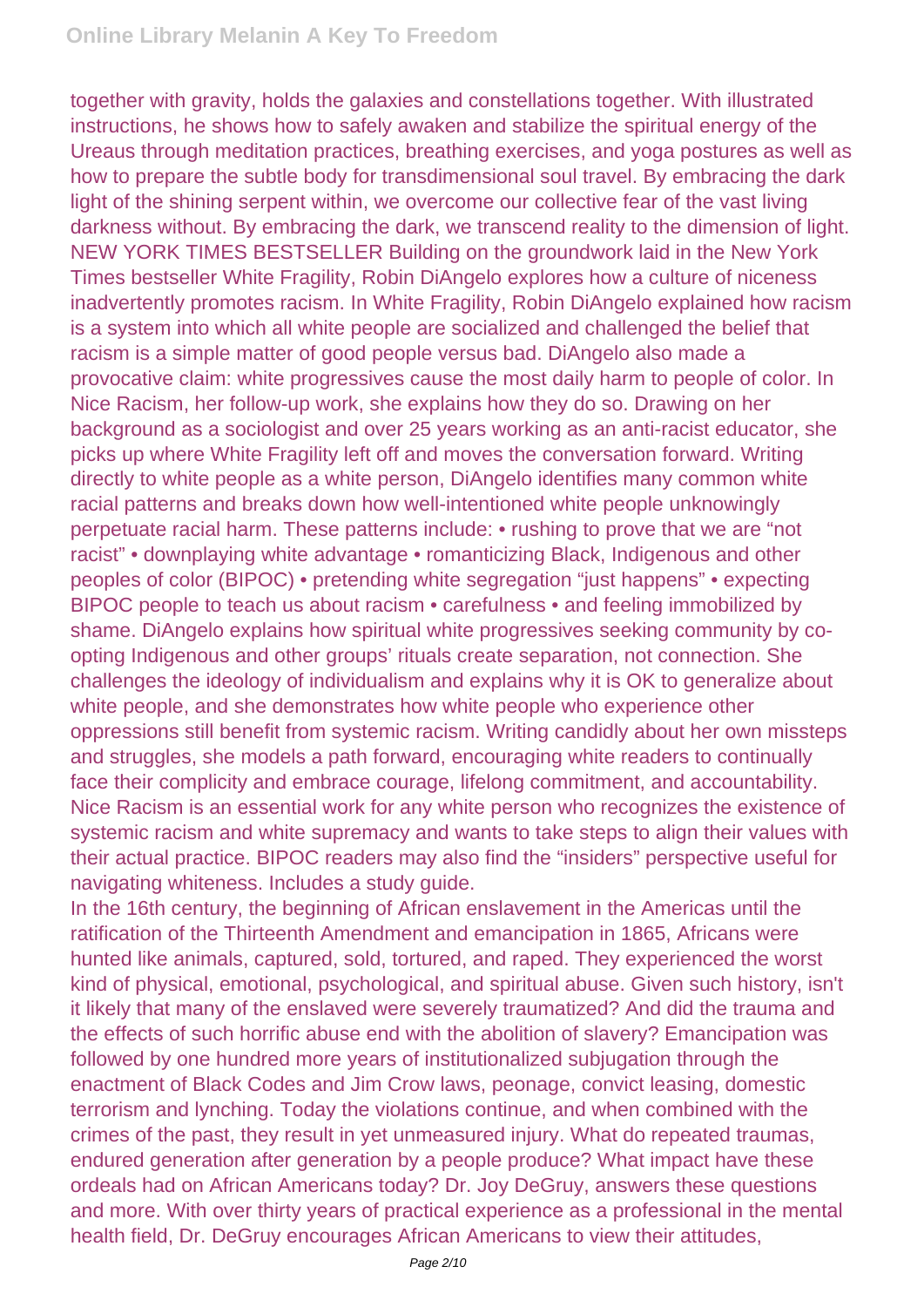together with gravity, holds the galaxies and constellations together. With illustrated instructions, he shows how to safely awaken and stabilize the spiritual energy of the Ureaus through meditation practices, breathing exercises, and yoga postures as well as how to prepare the subtle body for transdimensional soul travel. By embracing the dark light of the shining serpent within, we overcome our collective fear of the vast living darkness without. By embracing the dark, we transcend reality to the dimension of light. NEW YORK TIMES BESTSELLER Building on the groundwork laid in the New York Times bestseller White Fragility, Robin DiAngelo explores how a culture of niceness inadvertently promotes racism. In White Fragility, Robin DiAngelo explained how racism is a system into which all white people are socialized and challenged the belief that racism is a simple matter of good people versus bad. DiAngelo also made a provocative claim: white progressives cause the most daily harm to people of color. In Nice Racism, her follow-up work, she explains how they do so. Drawing on her background as a sociologist and over 25 years working as an anti-racist educator, she picks up where White Fragility left off and moves the conversation forward. Writing directly to white people as a white person, DiAngelo identifies many common white racial patterns and breaks down how well-intentioned white people unknowingly perpetuate racial harm. These patterns include: • rushing to prove that we are "not racist" • downplaying white advantage • romanticizing Black, Indigenous and other peoples of color (BIPOC) • pretending white segregation "just happens" • expecting BIPOC people to teach us about racism • carefulness • and feeling immobilized by shame. DiAngelo explains how spiritual white progressives seeking community by coopting Indigenous and other groups' rituals create separation, not connection. She challenges the ideology of individualism and explains why it is OK to generalize about white people, and she demonstrates how white people who experience other oppressions still benefit from systemic racism. Writing candidly about her own missteps and struggles, she models a path forward, encouraging white readers to continually face their complicity and embrace courage, lifelong commitment, and accountability. Nice Racism is an essential work for any white person who recognizes the existence of systemic racism and white supremacy and wants to take steps to align their values with their actual practice. BIPOC readers may also find the "insiders" perspective useful for navigating whiteness. Includes a study guide.

In the 16th century, the beginning of African enslavement in the Americas until the ratification of the Thirteenth Amendment and emancipation in 1865, Africans were hunted like animals, captured, sold, tortured, and raped. They experienced the worst kind of physical, emotional, psychological, and spiritual abuse. Given such history, isn't it likely that many of the enslaved were severely traumatized? And did the trauma and the effects of such horrific abuse end with the abolition of slavery? Emancipation was followed by one hundred more years of institutionalized subjugation through the enactment of Black Codes and Jim Crow laws, peonage, convict leasing, domestic terrorism and lynching. Today the violations continue, and when combined with the crimes of the past, they result in yet unmeasured injury. What do repeated traumas, endured generation after generation by a people produce? What impact have these ordeals had on African Americans today? Dr. Joy DeGruy, answers these questions and more. With over thirty years of practical experience as a professional in the mental health field, Dr. DeGruy encourages African Americans to view their attitudes,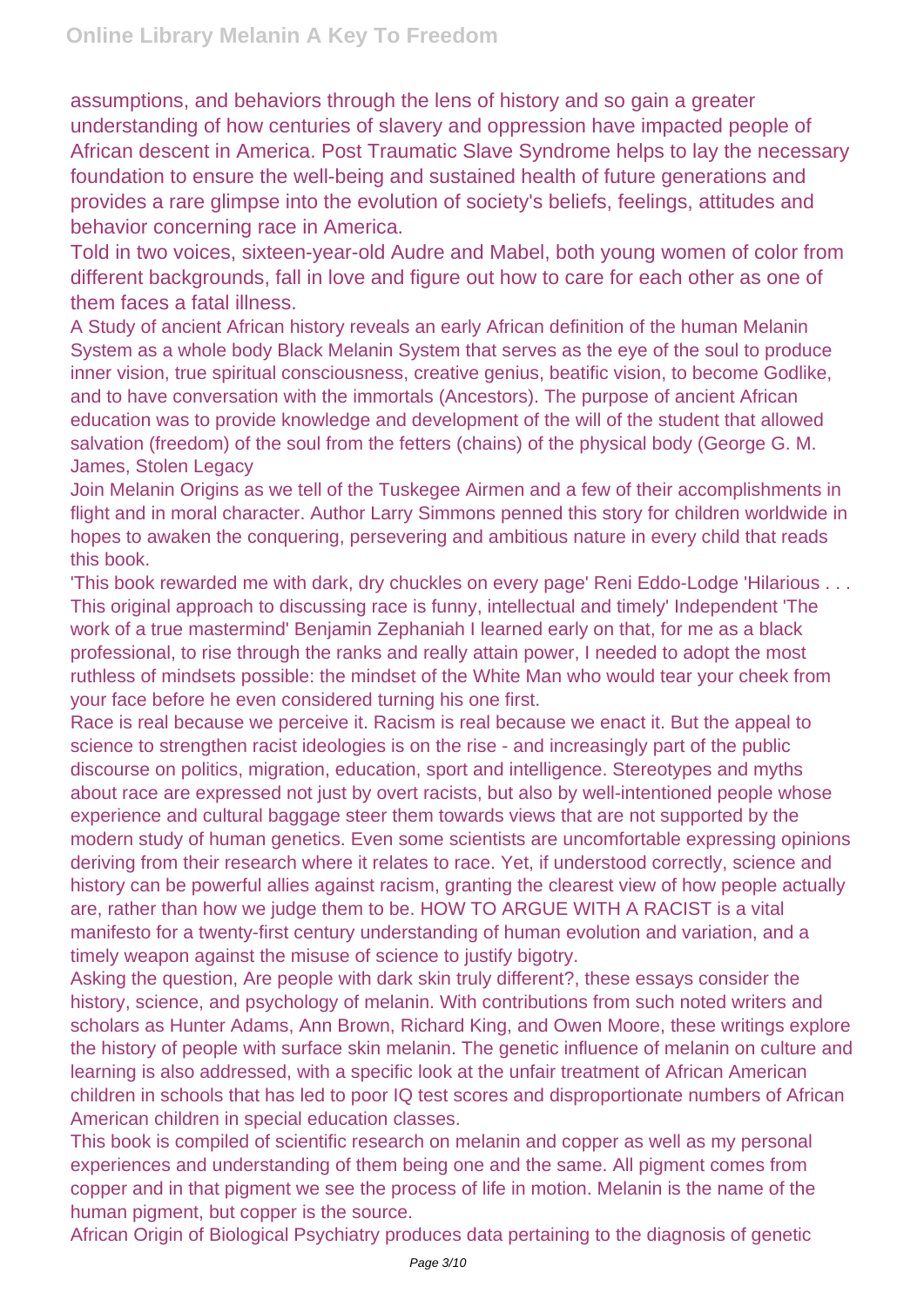assumptions, and behaviors through the lens of history and so gain a greater understanding of how centuries of slavery and oppression have impacted people of African descent in America. Post Traumatic Slave Syndrome helps to lay the necessary foundation to ensure the well-being and sustained health of future generations and provides a rare glimpse into the evolution of society's beliefs, feelings, attitudes and behavior concerning race in America.

Told in two voices, sixteen-year-old Audre and Mabel, both young women of color from different backgrounds, fall in love and figure out how to care for each other as one of them faces a fatal illness.

A Study of ancient African history reveals an early African definition of the human Melanin System as a whole body Black Melanin System that serves as the eye of the soul to produce inner vision, true spiritual consciousness, creative genius, beatific vision, to become Godlike, and to have conversation with the immortals (Ancestors). The purpose of ancient African education was to provide knowledge and development of the will of the student that allowed salvation (freedom) of the soul from the fetters (chains) of the physical body (George G. M. James, Stolen Legacy

Join Melanin Origins as we tell of the Tuskegee Airmen and a few of their accomplishments in flight and in moral character. Author Larry Simmons penned this story for children worldwide in hopes to awaken the conquering, persevering and ambitious nature in every child that reads this book.

'This book rewarded me with dark, dry chuckles on every page' Reni Eddo-Lodge 'Hilarious . . . This original approach to discussing race is funny, intellectual and timely' Independent 'The work of a true mastermind' Benjamin Zephaniah I learned early on that, for me as a black professional, to rise through the ranks and really attain power, I needed to adopt the most ruthless of mindsets possible: the mindset of the White Man who would tear your cheek from your face before he even considered turning his one first.

Race is real because we perceive it. Racism is real because we enact it. But the appeal to science to strengthen racist ideologies is on the rise - and increasingly part of the public discourse on politics, migration, education, sport and intelligence. Stereotypes and myths about race are expressed not just by overt racists, but also by well-intentioned people whose experience and cultural baggage steer them towards views that are not supported by the modern study of human genetics. Even some scientists are uncomfortable expressing opinions deriving from their research where it relates to race. Yet, if understood correctly, science and history can be powerful allies against racism, granting the clearest view of how people actually are, rather than how we judge them to be. HOW TO ARGUE WITH A RACIST is a vital manifesto for a twenty-first century understanding of human evolution and variation, and a timely weapon against the misuse of science to justify bigotry.

Asking the question, Are people with dark skin truly different?, these essays consider the history, science, and psychology of melanin. With contributions from such noted writers and scholars as Hunter Adams, Ann Brown, Richard King, and Owen Moore, these writings explore the history of people with surface skin melanin. The genetic influence of melanin on culture and learning is also addressed, with a specific look at the unfair treatment of African American children in schools that has led to poor IQ test scores and disproportionate numbers of African American children in special education classes.

This book is compiled of scientific research on melanin and copper as well as my personal experiences and understanding of them being one and the same. All pigment comes from copper and in that pigment we see the process of life in motion. Melanin is the name of the human pigment, but copper is the source.

African Origin of Biological Psychiatry produces data pertaining to the diagnosis of genetic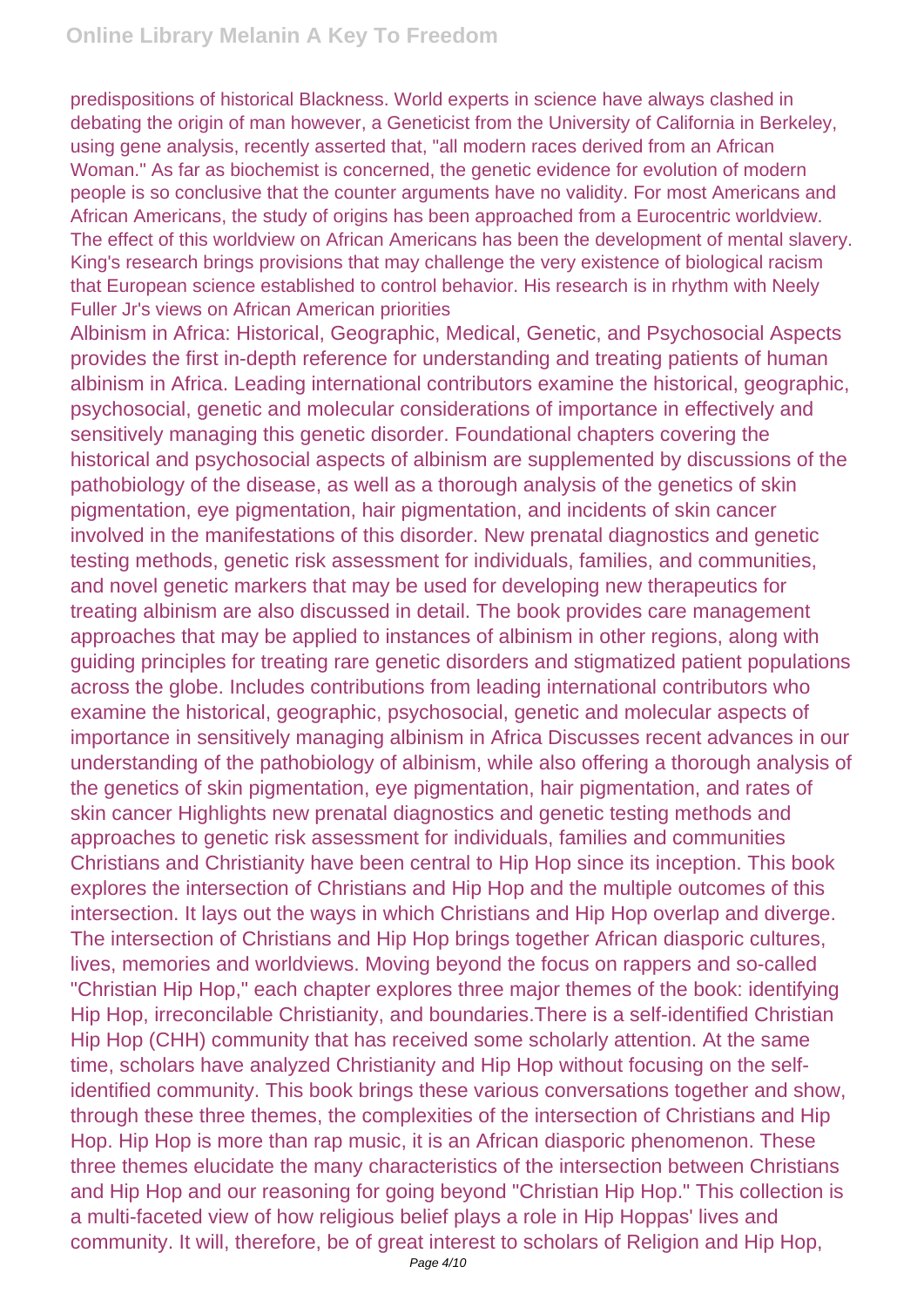predispositions of historical Blackness. World experts in science have always clashed in debating the origin of man however, a Geneticist from the University of California in Berkeley, using gene analysis, recently asserted that, "all modern races derived from an African Woman." As far as biochemist is concerned, the genetic evidence for evolution of modern people is so conclusive that the counter arguments have no validity. For most Americans and African Americans, the study of origins has been approached from a Eurocentric worldview. The effect of this worldview on African Americans has been the development of mental slavery. King's research brings provisions that may challenge the very existence of biological racism that European science established to control behavior. His research is in rhythm with Neely Fuller Jr's views on African American priorities

Albinism in Africa: Historical, Geographic, Medical, Genetic, and Psychosocial Aspects provides the first in-depth reference for understanding and treating patients of human albinism in Africa. Leading international contributors examine the historical, geographic, psychosocial, genetic and molecular considerations of importance in effectively and sensitively managing this genetic disorder. Foundational chapters covering the historical and psychosocial aspects of albinism are supplemented by discussions of the pathobiology of the disease, as well as a thorough analysis of the genetics of skin pigmentation, eye pigmentation, hair pigmentation, and incidents of skin cancer involved in the manifestations of this disorder. New prenatal diagnostics and genetic testing methods, genetic risk assessment for individuals, families, and communities, and novel genetic markers that may be used for developing new therapeutics for treating albinism are also discussed in detail. The book provides care management approaches that may be applied to instances of albinism in other regions, along with guiding principles for treating rare genetic disorders and stigmatized patient populations across the globe. Includes contributions from leading international contributors who examine the historical, geographic, psychosocial, genetic and molecular aspects of importance in sensitively managing albinism in Africa Discusses recent advances in our understanding of the pathobiology of albinism, while also offering a thorough analysis of the genetics of skin pigmentation, eye pigmentation, hair pigmentation, and rates of skin cancer Highlights new prenatal diagnostics and genetic testing methods and approaches to genetic risk assessment for individuals, families and communities Christians and Christianity have been central to Hip Hop since its inception. This book explores the intersection of Christians and Hip Hop and the multiple outcomes of this intersection. It lays out the ways in which Christians and Hip Hop overlap and diverge. The intersection of Christians and Hip Hop brings together African diasporic cultures, lives, memories and worldviews. Moving beyond the focus on rappers and so-called "Christian Hip Hop," each chapter explores three major themes of the book: identifying Hip Hop, irreconcilable Christianity, and boundaries.There is a self-identified Christian Hip Hop (CHH) community that has received some scholarly attention. At the same time, scholars have analyzed Christianity and Hip Hop without focusing on the selfidentified community. This book brings these various conversations together and show, through these three themes, the complexities of the intersection of Christians and Hip Hop. Hip Hop is more than rap music, it is an African diasporic phenomenon. These three themes elucidate the many characteristics of the intersection between Christians and Hip Hop and our reasoning for going beyond "Christian Hip Hop." This collection is a multi-faceted view of how religious belief plays a role in Hip Hoppas' lives and community. It will, therefore, be of great interest to scholars of Religion and Hip Hop,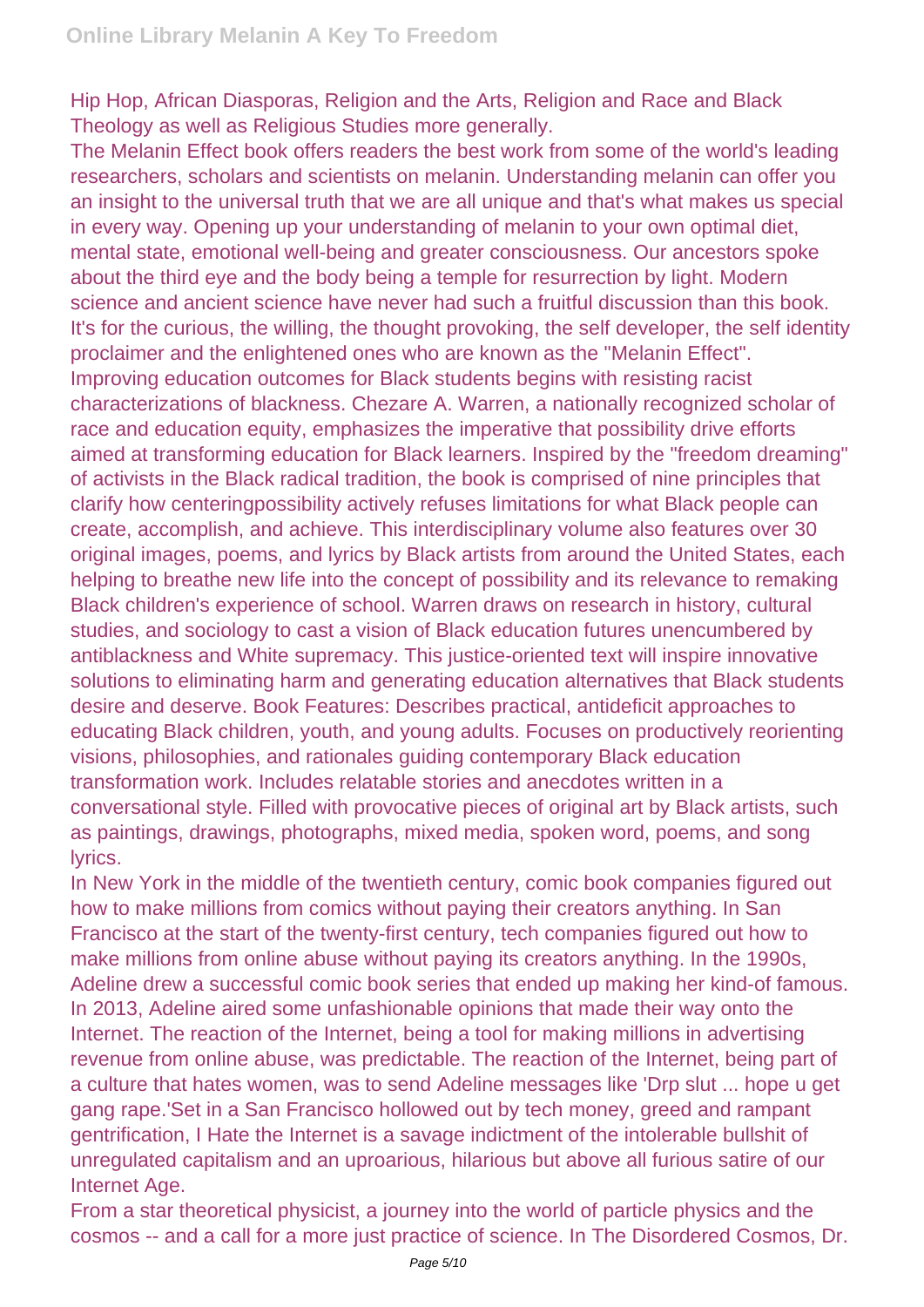Hip Hop, African Diasporas, Religion and the Arts, Religion and Race and Black Theology as well as Religious Studies more generally.

The Melanin Effect book offers readers the best work from some of the world's leading researchers, scholars and scientists on melanin. Understanding melanin can offer you an insight to the universal truth that we are all unique and that's what makes us special in every way. Opening up your understanding of melanin to your own optimal diet, mental state, emotional well-being and greater consciousness. Our ancestors spoke about the third eye and the body being a temple for resurrection by light. Modern science and ancient science have never had such a fruitful discussion than this book. It's for the curious, the willing, the thought provoking, the self developer, the self identity proclaimer and the enlightened ones who are known as the "Melanin Effect". Improving education outcomes for Black students begins with resisting racist characterizations of blackness. Chezare A. Warren, a nationally recognized scholar of race and education equity, emphasizes the imperative that possibility drive efforts aimed at transforming education for Black learners. Inspired by the "freedom dreaming" of activists in the Black radical tradition, the book is comprised of nine principles that clarify how centeringpossibility actively refuses limitations for what Black people can create, accomplish, and achieve. This interdisciplinary volume also features over 30 original images, poems, and lyrics by Black artists from around the United States, each helping to breathe new life into the concept of possibility and its relevance to remaking Black children's experience of school. Warren draws on research in history, cultural studies, and sociology to cast a vision of Black education futures unencumbered by antiblackness and White supremacy. This justice-oriented text will inspire innovative solutions to eliminating harm and generating education alternatives that Black students desire and deserve. Book Features: Describes practical, antideficit approaches to educating Black children, youth, and young adults. Focuses on productively reorienting visions, philosophies, and rationales guiding contemporary Black education transformation work. Includes relatable stories and anecdotes written in a conversational style. Filled with provocative pieces of original art by Black artists, such as paintings, drawings, photographs, mixed media, spoken word, poems, and song lyrics.

In New York in the middle of the twentieth century, comic book companies figured out how to make millions from comics without paying their creators anything. In San Francisco at the start of the twenty-first century, tech companies figured out how to make millions from online abuse without paying its creators anything. In the 1990s, Adeline drew a successful comic book series that ended up making her kind-of famous. In 2013, Adeline aired some unfashionable opinions that made their way onto the Internet. The reaction of the Internet, being a tool for making millions in advertising revenue from online abuse, was predictable. The reaction of the Internet, being part of a culture that hates women, was to send Adeline messages like 'Drp slut ... hope u get gang rape.'Set in a San Francisco hollowed out by tech money, greed and rampant gentrification, I Hate the Internet is a savage indictment of the intolerable bullshit of unregulated capitalism and an uproarious, hilarious but above all furious satire of our Internet Age.

From a star theoretical physicist, a journey into the world of particle physics and the cosmos -- and a call for a more just practice of science. In The Disordered Cosmos, Dr.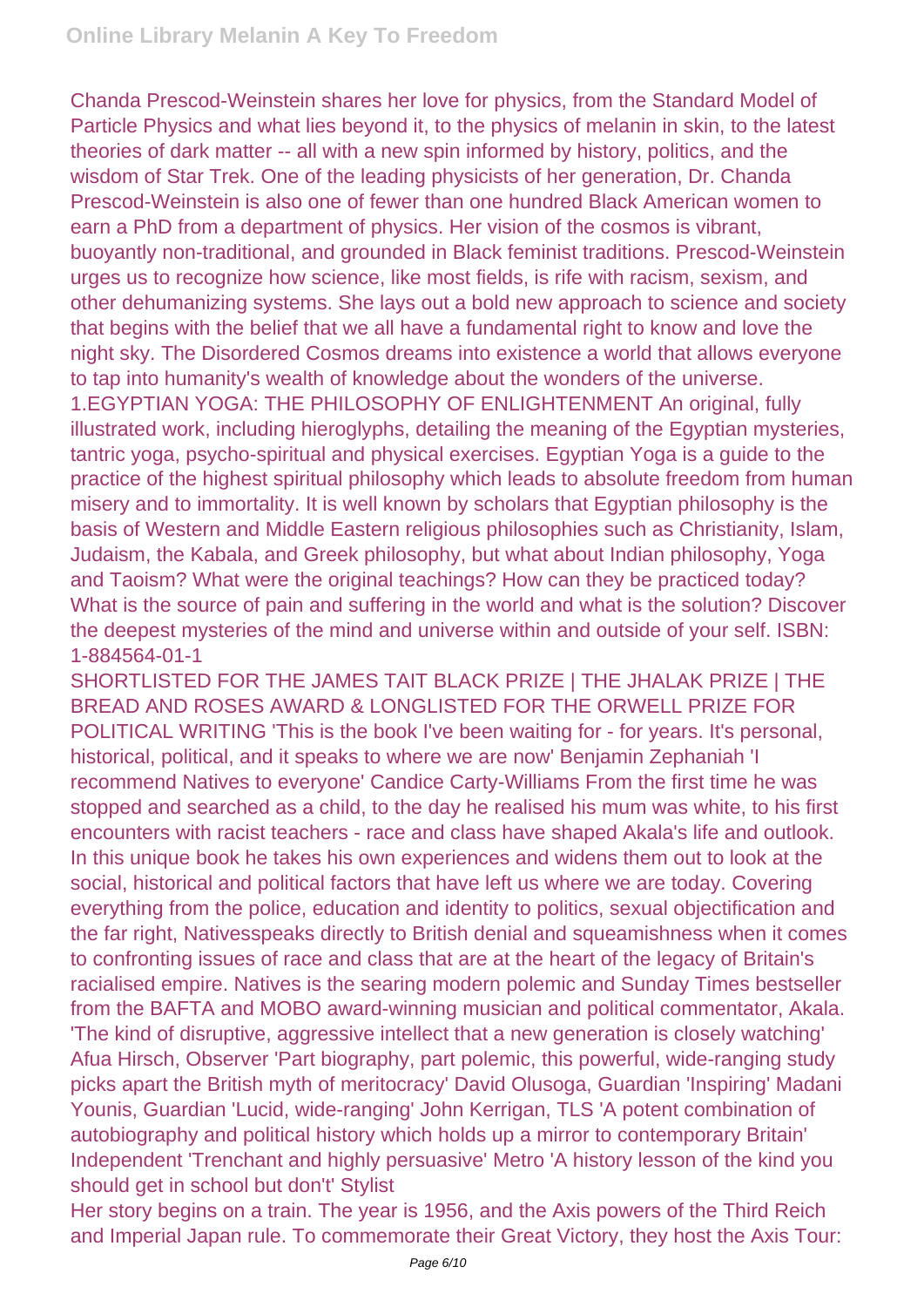Chanda Prescod-Weinstein shares her love for physics, from the Standard Model of Particle Physics and what lies beyond it, to the physics of melanin in skin, to the latest theories of dark matter -- all with a new spin informed by history, politics, and the wisdom of Star Trek. One of the leading physicists of her generation, Dr. Chanda Prescod-Weinstein is also one of fewer than one hundred Black American women to earn a PhD from a department of physics. Her vision of the cosmos is vibrant, buoyantly non-traditional, and grounded in Black feminist traditions. Prescod-Weinstein urges us to recognize how science, like most fields, is rife with racism, sexism, and other dehumanizing systems. She lays out a bold new approach to science and society that begins with the belief that we all have a fundamental right to know and love the night sky. The Disordered Cosmos dreams into existence a world that allows everyone to tap into humanity's wealth of knowledge about the wonders of the universe. 1.EGYPTIAN YOGA: THE PHILOSOPHY OF ENLIGHTENMENT An original, fully illustrated work, including hieroglyphs, detailing the meaning of the Egyptian mysteries, tantric yoga, psycho-spiritual and physical exercises. Egyptian Yoga is a guide to the practice of the highest spiritual philosophy which leads to absolute freedom from human misery and to immortality. It is well known by scholars that Egyptian philosophy is the basis of Western and Middle Eastern religious philosophies such as Christianity, Islam, Judaism, the Kabala, and Greek philosophy, but what about Indian philosophy, Yoga and Taoism? What were the original teachings? How can they be practiced today? What is the source of pain and suffering in the world and what is the solution? Discover the deepest mysteries of the mind and universe within and outside of your self. ISBN: 1-884564-01-1

SHORTLISTED FOR THE JAMES TAIT BLACK PRIZE | THE JHALAK PRIZE | THE BREAD AND ROSES AWARD & LONGLISTED FOR THE ORWELL PRIZE FOR POLITICAL WRITING 'This is the book I've been waiting for - for years. It's personal, historical, political, and it speaks to where we are now' Benjamin Zephaniah 'I recommend Natives to everyone' Candice Carty-Williams From the first time he was stopped and searched as a child, to the day he realised his mum was white, to his first encounters with racist teachers - race and class have shaped Akala's life and outlook. In this unique book he takes his own experiences and widens them out to look at the social, historical and political factors that have left us where we are today. Covering everything from the police, education and identity to politics, sexual objectification and the far right, Nativesspeaks directly to British denial and squeamishness when it comes to confronting issues of race and class that are at the heart of the legacy of Britain's racialised empire. Natives is the searing modern polemic and Sunday Times bestseller from the BAFTA and MOBO award-winning musician and political commentator, Akala. 'The kind of disruptive, aggressive intellect that a new generation is closely watching' Afua Hirsch, Observer 'Part biography, part polemic, this powerful, wide-ranging study picks apart the British myth of meritocracy' David Olusoga, Guardian 'Inspiring' Madani Younis, Guardian 'Lucid, wide-ranging' John Kerrigan, TLS 'A potent combination of autobiography and political history which holds up a mirror to contemporary Britain' Independent 'Trenchant and highly persuasive' Metro 'A history lesson of the kind you should get in school but don't' Stylist

Her story begins on a train. The year is 1956, and the Axis powers of the Third Reich and Imperial Japan rule. To commemorate their Great Victory, they host the Axis Tour: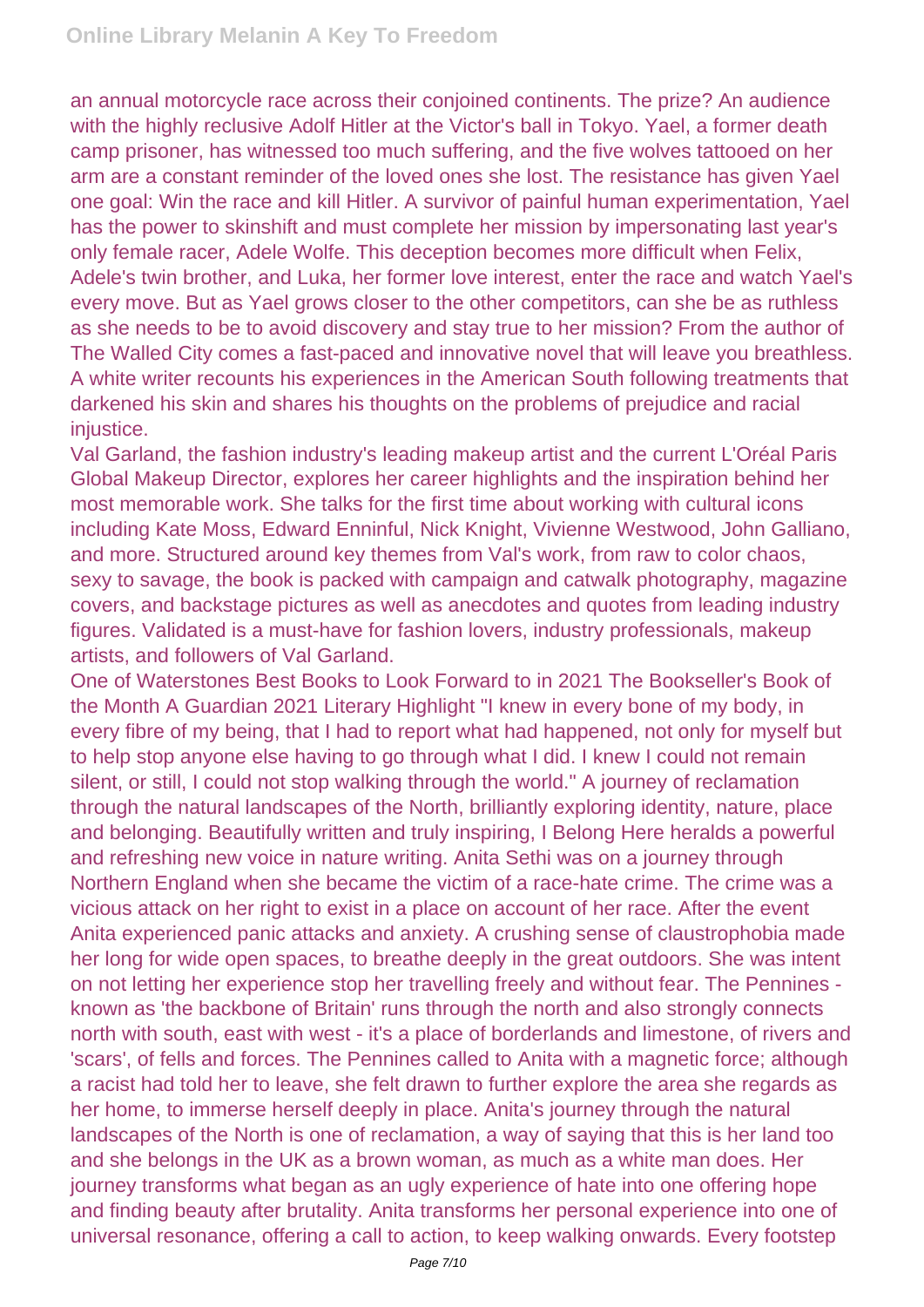an annual motorcycle race across their conjoined continents. The prize? An audience with the highly reclusive Adolf Hitler at the Victor's ball in Tokyo. Yael, a former death camp prisoner, has witnessed too much suffering, and the five wolves tattooed on her arm are a constant reminder of the loved ones she lost. The resistance has given Yael one goal: Win the race and kill Hitler. A survivor of painful human experimentation, Yael has the power to skinshift and must complete her mission by impersonating last year's only female racer, Adele Wolfe. This deception becomes more difficult when Felix, Adele's twin brother, and Luka, her former love interest, enter the race and watch Yael's every move. But as Yael grows closer to the other competitors, can she be as ruthless as she needs to be to avoid discovery and stay true to her mission? From the author of The Walled City comes a fast-paced and innovative novel that will leave you breathless. A white writer recounts his experiences in the American South following treatments that darkened his skin and shares his thoughts on the problems of prejudice and racial iniustice.

Val Garland, the fashion industry's leading makeup artist and the current L'Oréal Paris Global Makeup Director, explores her career highlights and the inspiration behind her most memorable work. She talks for the first time about working with cultural icons including Kate Moss, Edward Enninful, Nick Knight, Vivienne Westwood, John Galliano, and more. Structured around key themes from Val's work, from raw to color chaos, sexy to savage, the book is packed with campaign and catwalk photography, magazine covers, and backstage pictures as well as anecdotes and quotes from leading industry figures. Validated is a must-have for fashion lovers, industry professionals, makeup artists, and followers of Val Garland.

One of Waterstones Best Books to Look Forward to in 2021 The Bookseller's Book of the Month A Guardian 2021 Literary Highlight "I knew in every bone of my body, in every fibre of my being, that I had to report what had happened, not only for myself but to help stop anyone else having to go through what I did. I knew I could not remain silent, or still, I could not stop walking through the world." A journey of reclamation through the natural landscapes of the North, brilliantly exploring identity, nature, place and belonging. Beautifully written and truly inspiring, I Belong Here heralds a powerful and refreshing new voice in nature writing. Anita Sethi was on a journey through Northern England when she became the victim of a race-hate crime. The crime was a vicious attack on her right to exist in a place on account of her race. After the event Anita experienced panic attacks and anxiety. A crushing sense of claustrophobia made her long for wide open spaces, to breathe deeply in the great outdoors. She was intent on not letting her experience stop her travelling freely and without fear. The Pennines known as 'the backbone of Britain' runs through the north and also strongly connects north with south, east with west - it's a place of borderlands and limestone, of rivers and 'scars', of fells and forces. The Pennines called to Anita with a magnetic force; although a racist had told her to leave, she felt drawn to further explore the area she regards as her home, to immerse herself deeply in place. Anita's journey through the natural landscapes of the North is one of reclamation, a way of saying that this is her land too and she belongs in the UK as a brown woman, as much as a white man does. Her journey transforms what began as an ugly experience of hate into one offering hope and finding beauty after brutality. Anita transforms her personal experience into one of universal resonance, offering a call to action, to keep walking onwards. Every footstep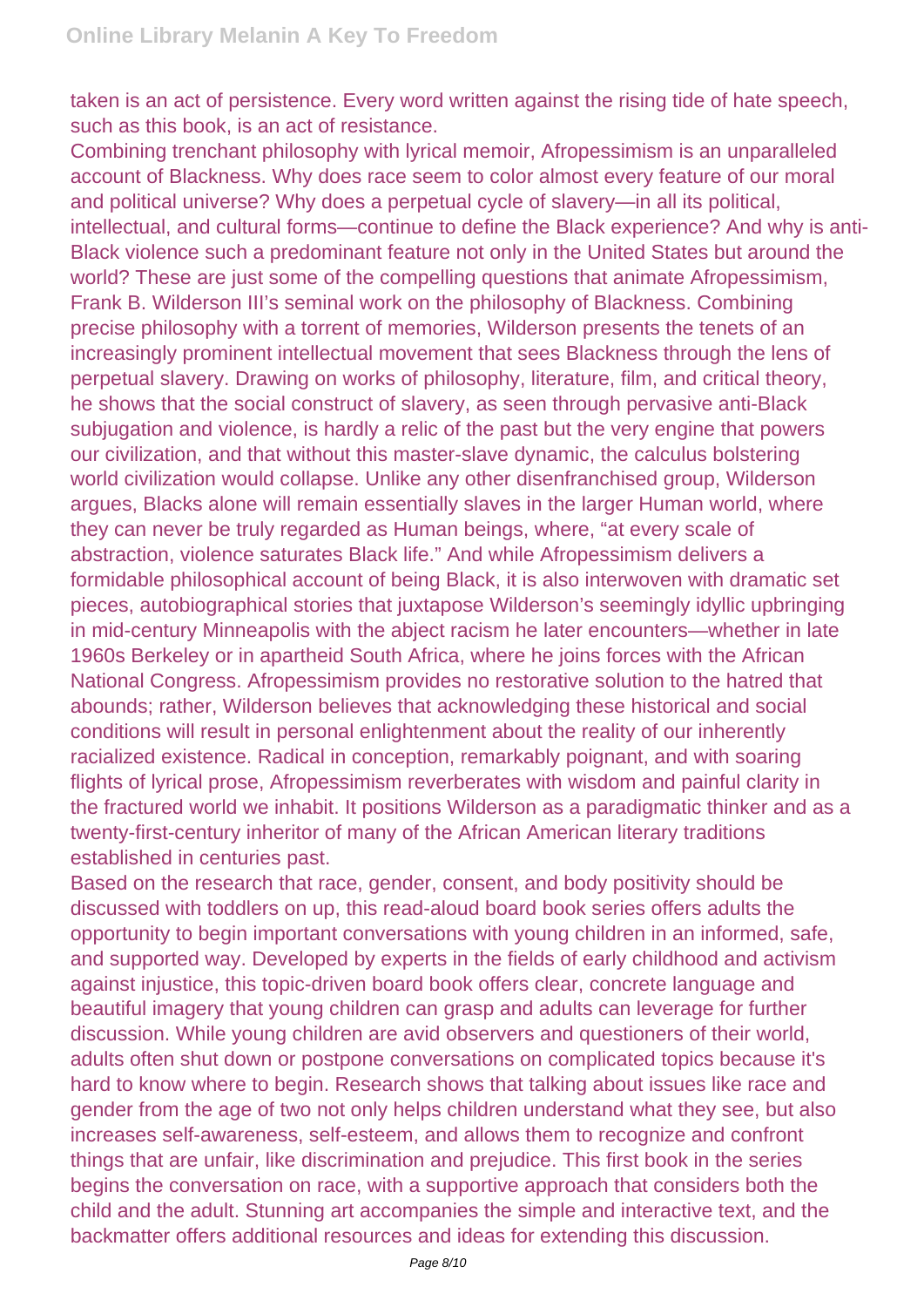taken is an act of persistence. Every word written against the rising tide of hate speech, such as this book, is an act of resistance.

Combining trenchant philosophy with lyrical memoir, Afropessimism is an unparalleled account of Blackness. Why does race seem to color almost every feature of our moral and political universe? Why does a perpetual cycle of slavery—in all its political, intellectual, and cultural forms—continue to define the Black experience? And why is anti-Black violence such a predominant feature not only in the United States but around the world? These are just some of the compelling questions that animate Afropessimism, Frank B. Wilderson III's seminal work on the philosophy of Blackness. Combining precise philosophy with a torrent of memories, Wilderson presents the tenets of an increasingly prominent intellectual movement that sees Blackness through the lens of perpetual slavery. Drawing on works of philosophy, literature, film, and critical theory, he shows that the social construct of slavery, as seen through pervasive anti-Black subjugation and violence, is hardly a relic of the past but the very engine that powers our civilization, and that without this master-slave dynamic, the calculus bolstering world civilization would collapse. Unlike any other disenfranchised group, Wilderson argues, Blacks alone will remain essentially slaves in the larger Human world, where they can never be truly regarded as Human beings, where, "at every scale of abstraction, violence saturates Black life." And while Afropessimism delivers a formidable philosophical account of being Black, it is also interwoven with dramatic set pieces, autobiographical stories that juxtapose Wilderson's seemingly idyllic upbringing in mid-century Minneapolis with the abject racism he later encounters—whether in late 1960s Berkeley or in apartheid South Africa, where he joins forces with the African National Congress. Afropessimism provides no restorative solution to the hatred that abounds; rather, Wilderson believes that acknowledging these historical and social conditions will result in personal enlightenment about the reality of our inherently racialized existence. Radical in conception, remarkably poignant, and with soaring flights of lyrical prose, Afropessimism reverberates with wisdom and painful clarity in the fractured world we inhabit. It positions Wilderson as a paradigmatic thinker and as a twenty-first-century inheritor of many of the African American literary traditions established in centuries past.

Based on the research that race, gender, consent, and body positivity should be discussed with toddlers on up, this read-aloud board book series offers adults the opportunity to begin important conversations with young children in an informed, safe, and supported way. Developed by experts in the fields of early childhood and activism against injustice, this topic-driven board book offers clear, concrete language and beautiful imagery that young children can grasp and adults can leverage for further discussion. While young children are avid observers and questioners of their world, adults often shut down or postpone conversations on complicated topics because it's hard to know where to begin. Research shows that talking about issues like race and gender from the age of two not only helps children understand what they see, but also increases self-awareness, self-esteem, and allows them to recognize and confront things that are unfair, like discrimination and prejudice. This first book in the series begins the conversation on race, with a supportive approach that considers both the child and the adult. Stunning art accompanies the simple and interactive text, and the backmatter offers additional resources and ideas for extending this discussion.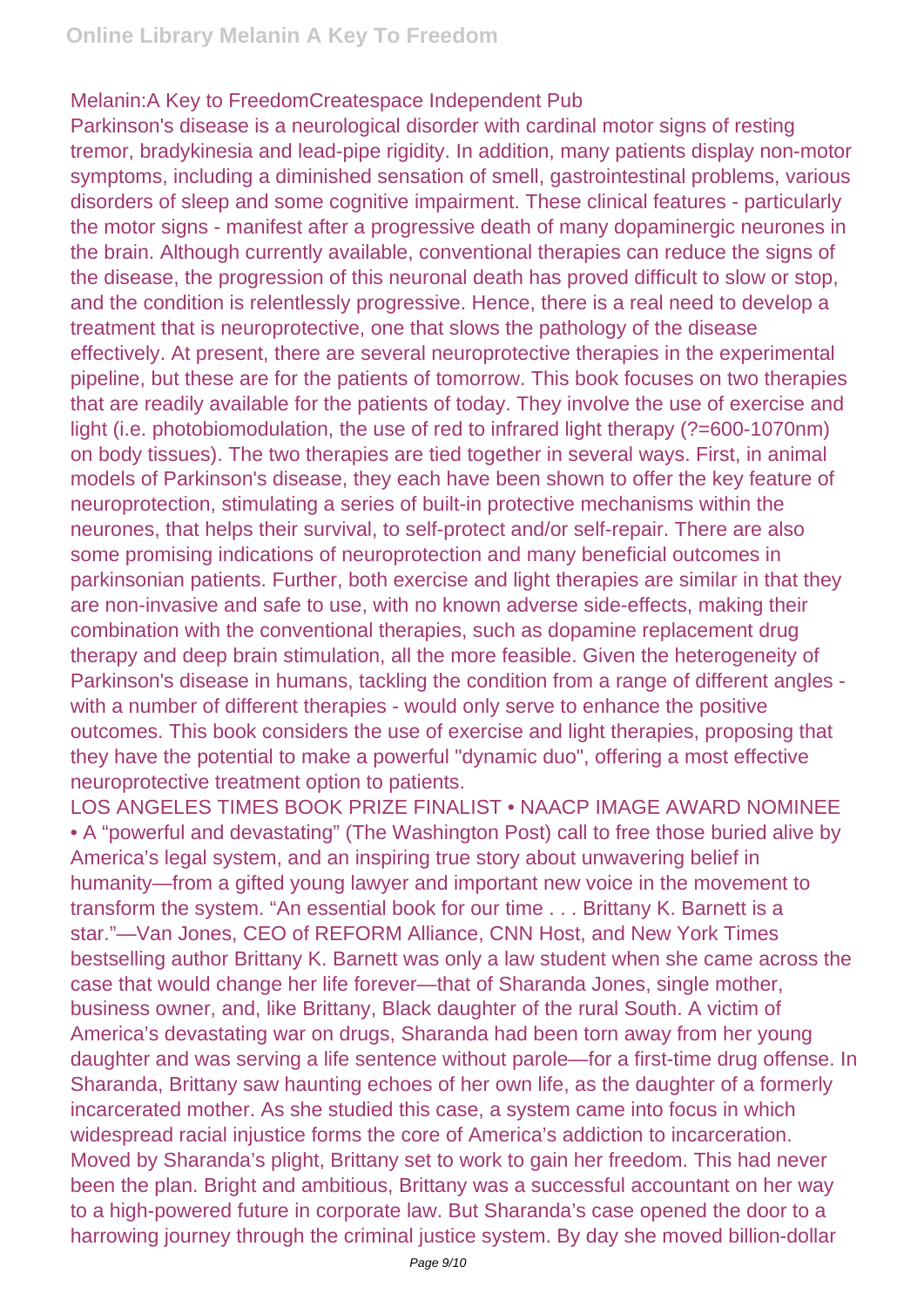## Melanin:A Key to FreedomCreatespace Independent Pub

Parkinson's disease is a neurological disorder with cardinal motor signs of resting tremor, bradykinesia and lead-pipe rigidity. In addition, many patients display non-motor symptoms, including a diminished sensation of smell, gastrointestinal problems, various disorders of sleep and some cognitive impairment. These clinical features - particularly the motor signs - manifest after a progressive death of many dopaminergic neurones in the brain. Although currently available, conventional therapies can reduce the signs of the disease, the progression of this neuronal death has proved difficult to slow or stop, and the condition is relentlessly progressive. Hence, there is a real need to develop a treatment that is neuroprotective, one that slows the pathology of the disease effectively. At present, there are several neuroprotective therapies in the experimental pipeline, but these are for the patients of tomorrow. This book focuses on two therapies that are readily available for the patients of today. They involve the use of exercise and light (i.e. photobiomodulation, the use of red to infrared light therapy (?=600-1070nm) on body tissues). The two therapies are tied together in several ways. First, in animal models of Parkinson's disease, they each have been shown to offer the key feature of neuroprotection, stimulating a series of built-in protective mechanisms within the neurones, that helps their survival, to self-protect and/or self-repair. There are also some promising indications of neuroprotection and many beneficial outcomes in parkinsonian patients. Further, both exercise and light therapies are similar in that they are non-invasive and safe to use, with no known adverse side-effects, making their combination with the conventional therapies, such as dopamine replacement drug therapy and deep brain stimulation, all the more feasible. Given the heterogeneity of Parkinson's disease in humans, tackling the condition from a range of different angles with a number of different therapies - would only serve to enhance the positive outcomes. This book considers the use of exercise and light therapies, proposing that they have the potential to make a powerful "dynamic duo", offering a most effective neuroprotective treatment option to patients.

LOS ANGELES TIMES BOOK PRIZE FINALIST • NAACP IMAGE AWARD NOMINEE • A "powerful and devastating" (The Washington Post) call to free those buried alive by America's legal system, and an inspiring true story about unwavering belief in humanity—from a gifted young lawyer and important new voice in the movement to transform the system. "An essential book for our time . . . Brittany K. Barnett is a star."—Van Jones, CEO of REFORM Alliance, CNN Host, and New York Times bestselling author Brittany K. Barnett was only a law student when she came across the case that would change her life forever—that of Sharanda Jones, single mother, business owner, and, like Brittany, Black daughter of the rural South. A victim of America's devastating war on drugs, Sharanda had been torn away from her young daughter and was serving a life sentence without parole—for a first-time drug offense. In Sharanda, Brittany saw haunting echoes of her own life, as the daughter of a formerly incarcerated mother. As she studied this case, a system came into focus in which widespread racial injustice forms the core of America's addiction to incarceration. Moved by Sharanda's plight, Brittany set to work to gain her freedom. This had never been the plan. Bright and ambitious, Brittany was a successful accountant on her way to a high-powered future in corporate law. But Sharanda's case opened the door to a harrowing journey through the criminal justice system. By day she moved billion-dollar